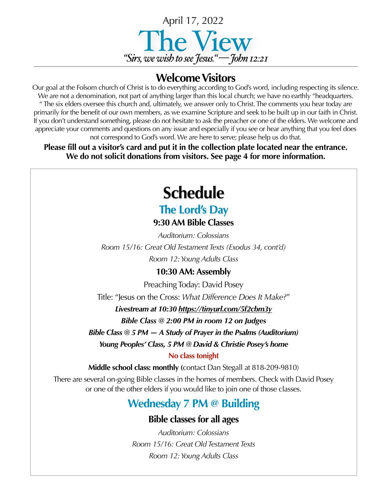

## **Welcome Visitors**

Our goal at the Folsom church of Christ is to do everything according to God's word, including respecting its silence. We are not a denomination, not part of anything larger than this local church; we have no earthly "headquarters. " The six elders oversee this church and, ultimately, we answer only to Christ. The comments you hear today are primarily for the benefit of our own members, as we examine Scripture and seek to be built up in our faith in Christ. If you don't understand something, please do not hesitate to ask the preacher or one of the elders. We welcome and appreciate your comments and questions on any issue and especially if you see or hear anything that you feel does not correspond to God's word. We are here to serve; please help us do that.

**Please fill out a visitor's card and put it in the collection plate located near the entrance. We do not solicit donations from visitors. See page 4 for more information.**

# **Schedule**

# **The Lord's Day**

### **9:30 AM Bible Classes**

*Auditorium: Colossians Room 15/16: Great Old Testament Texts (Exodus 34, cont'd) Room 12: Young Adults Class*

### **10:30 AM: Assembly**

Preaching Today: David Posey

Title: "Jesus on the Cross: *What Difference Does It Make?*"

*Livestream at 10:30 <https://tinyurl.com/5f2cbm3y>*

*Bible Class @ 2:00 PM in room 12 on Judges*

*Bible Class @ 5 PM — A Study of Prayer in the Psalms (Auditorium)*

*Young Peoples' Class, 5 PM @ David & Christie Posey's home* 

### **No class tonight**

**Middle school class: monthly (**contact Dan Stegall at 818-209-9810)

There are several on-going Bible classes in the homes of members. Check with David Posey or one of the other elders if you would like to join one of those classes.

# **Wednesday 7 PM @ Building**

### **Bible classes for all ages**

*Auditorium: Colossians Room 15/16: Great Old Testament Texts Room 12: Young Adults Class*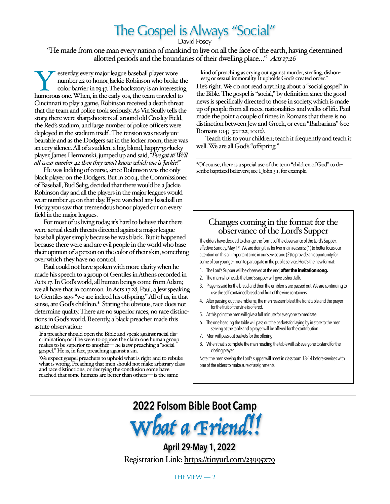# The Gospel is Always "Social"

David Posey

"He made from one man every nation of mankind to live on all the face of the earth, having determined allotted periods and the boundaries of their dwelling place…" *Acts 17:26*

Sterday, every major league baseball player wore number 42 to honor Jackie Robinson who broke the color barrier in 1947. The backstory is an interesting humorous one. When, in the early 50s, the team traveled to number 42 to honor Jackie Robinson who broke the color barrier in 1947. The backstory is an interesting, Cincinnati to play a game, Robinson received a death threat that the team and police took seriously. As Vin Scully tells the story, there were sharpshooters all around old Crosley Field, the Red's stadium, and large number of police officers were deployed in the stadium itself . The tension was nearly unbearable and as the Dodgers sat in the locker room, there was an eery silence. All of a sudden, a big, blond, happy-go-lucky player, James Hermanski, jumped up and said, *"I've got it! We'll all wear number 42 then they won't know which one is Jackie!"*

He was kidding of course, since Robinson was the only black player on the Dodgers. But in 2004, the Commissioner of Baseball, Bud Selig, decided that there would be a Jackie Robinson day and all the players in the major leagues would wear number 42 on that day. If you watched any baseball on Friday, you saw that tremendous honor played out on every field in the major leagues.

For most of us living today, it's hard to believe that there were actual death threats directed against a major league baseball player simply because he was black. But it happened because there were and are evil people in the world who base their opinion of a person on the color of their skin, something over which they have no control.

Paul could not have spoken with more clarity when he made his speech to a group of Gentiles in Athens recorded in Acts 17. In God's world, all human beings come from Adam; we all have that in common. In Acts 17:28, Paul, a Jew speaking to Gentiles says "we are indeed his offspring." All of us, in that sense, are God's children.\* Stating the obvious, race does not determine quality. There are no superior races, no race distinctions in God's world. Recently, a black preacher made this astute observation:

If a preacher should open the Bible and speak against racial dis- crimination; or if he were to oppose the claim one human group makes to be superior to another— he is *not* preaching a "social gospel." He is, in fact, preaching against a sin.

We expect gospel preachers to uphold what is right and to rebuke what is wrong. Preaching that men should not make arbitrary class and race distinctions; or decrying the conclusion some have reached that some humans are better than others— is the same

kind of preaching as crying out against murder, stealing, dishon- esty, or sexual immorality. It upholds God's created order."

He's right. We do not read anything about a "social gospel" in the Bible. The gospel is "social," by definition since the good news is specifically directed to those in society, which is made up of people from all races, nationalities and walks of life. Paul made the point a couple of times in Romans that there is no distinction between Jew and Greek, or even "Barbarians" (see Romans 1:14; 3:21-22; 10:12).

Teach this to your children; teach it frequently and teach it well. We are all God's "offspring."

\*Of course, there is a special use of the term "children of God" to describe baptized believers; see I John 3:1, for example.

# Changes coming in the format for the observance of the Lord's Supper

The elders have decided to change the format of the observance of the Lord's Supper, effective Sunday, May 1st. We are doing this for two main reasons: (1) to better focus our attention on this all-important time in our service and (2) to provide an opportunity for some of our younger men to participate in the public service. Here's the new format:

- 1. The Lord's Supper will be observed at the end, **after the invitation song.**
- 2. The man who heads the Lord's supper will give a short talk.
- 3. Prayer is said for the bread and then the emblems are passed out. We are continuing to use the self-contained bread and fruit of the vine containers.
- 4. After passing out the emblems, the men reassemble at the front table and the prayer for the fruit of the vine is offered.
- 5. At this point the men will give a full minute for everyone to meditate.
- 6. The one heading the table will pass out the baskets for laying by in store to the men serving at the table and a prayer will be offered for the contribution.
- 7. Men will pass out baskets for the offering.
- 8. When that is complete the man heading the table will ask everyone to stand for the closing prayer.

Note: the men serving the Lord's supper will meet in classroom 13-14 before services with one of the elders to make sure of assignments.



**April 29-May 1, 2022** Registration Link:<https://tinyurl.com/23995x79>